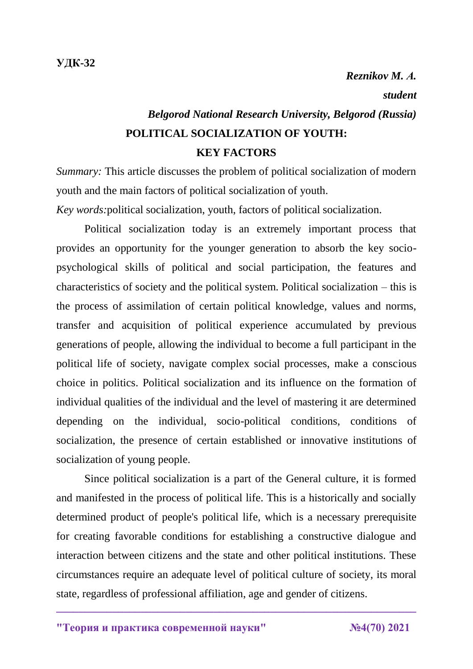## *Belgorod National Research University, Belgorod (Russia)* **POLITICAL SOCIALIZATION OF YOUTH: KEY FACTORS**

*Summary:* This article discusses the problem of political socialization of modern youth and the main factors of political socialization of youth.

*Key words:*political socialization, youth, factors of political socialization.

Political socialization today is an extremely important process that provides an opportunity for the younger generation to absorb the key sociopsychological skills of political and social participation, the features and characteristics of society and the political system. Political socialization – this is the process of assimilation of certain political knowledge, values and norms, transfer and acquisition of political experience accumulated by previous generations of people, allowing the individual to become a full participant in the political life of society, navigate complex social processes, make a conscious choice in politics. Political socialization and its influence on the formation of individual qualities of the individual and the level of mastering it are determined depending on the individual, socio-political conditions, conditions of socialization, the presence of certain established or innovative institutions of socialization of young people.

Since political socialization is a part of the General culture, it is formed and manifested in the process of political life. This is a historically and socially determined product of people's political life, which is a necessary prerequisite for creating favorable conditions for establishing a constructive dialogue and interaction between citizens and the state and other political institutions. These circumstances require an adequate level of political culture of society, its moral state, regardless of professional affiliation, age and gender of citizens.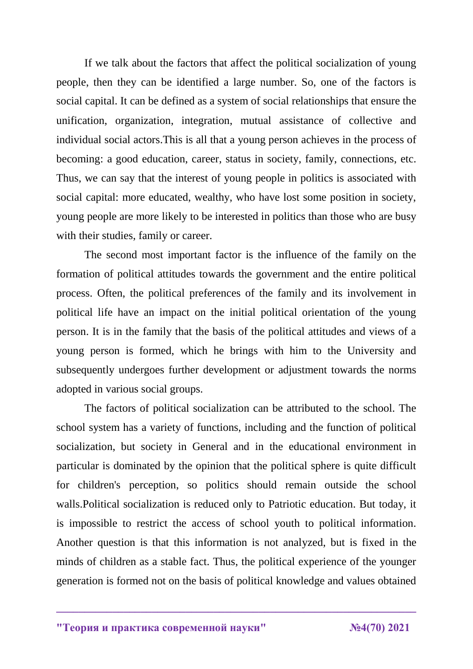If we talk about the factors that affect the political socialization of young people, then they can be identified a large number. So, one of the factors is social capital. It can be defined as a system of social relationships that ensure the unification, organization, integration, mutual assistance of collective and individual social actors.This is all that a young person achieves in the process of becoming: a good education, career, status in society, family, connections, etc. Thus, we can say that the interest of young people in politics is associated with social capital: more educated, wealthy, who have lost some position in society, young people are more likely to be interested in politics than those who are busy with their studies, family or career.

The second most important factor is the influence of the family on the formation of political attitudes towards the government and the entire political process. Often, the political preferences of the family and its involvement in political life have an impact on the initial political orientation of the young person. It is in the family that the basis of the political attitudes and views of a young person is formed, which he brings with him to the University and subsequently undergoes further development or adjustment towards the norms adopted in various social groups.

The factors of political socialization can be attributed to the school. The school system has a variety of functions, including and the function of political socialization, but society in General and in the educational environment in particular is dominated by the opinion that the political sphere is quite difficult for children's perception, so politics should remain outside the school walls.Political socialization is reduced only to Patriotic education. But today, it is impossible to restrict the access of school youth to political information. Another question is that this information is not analyzed, but is fixed in the minds of children as a stable fact. Thus, the political experience of the younger generation is formed not on the basis of political knowledge and values obtained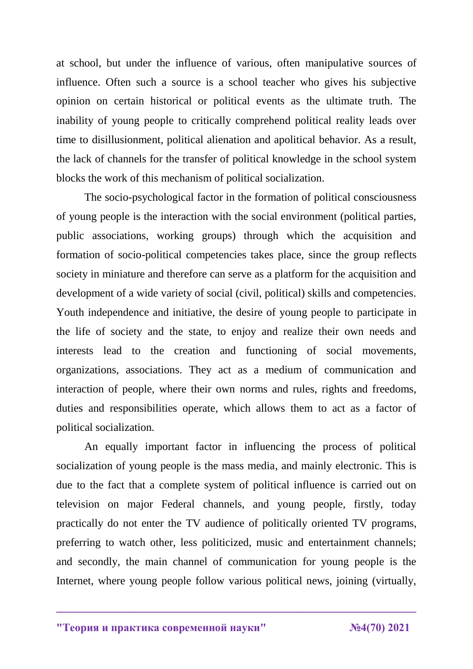at school, but under the influence of various, often manipulative sources of influence. Often such a source is a school teacher who gives his subjective opinion on certain historical or political events as the ultimate truth. The inability of young people to critically comprehend political reality leads over time to disillusionment, political alienation and apolitical behavior. As a result, the lack of channels for the transfer of political knowledge in the school system blocks the work of this mechanism of political socialization.

The socio-psychological factor in the formation of political consciousness of young people is the interaction with the social environment (political parties, public associations, working groups) through which the acquisition and formation of socio-political competencies takes place, since the group reflects society in miniature and therefore can serve as a platform for the acquisition and development of a wide variety of social (civil, political) skills and competencies. Youth independence and initiative, the desire of young people to participate in the life of society and the state, to enjoy and realize their own needs and interests lead to the creation and functioning of social movements, organizations, associations. They act as a medium of communication and interaction of people, where their own norms and rules, rights and freedoms, duties and responsibilities operate, which allows them to act as a factor of political socialization.

An equally important factor in influencing the process of political socialization of young people is the mass media, and mainly electronic. This is due to the fact that a complete system of political influence is carried out on television on major Federal channels, and young people, firstly, today practically do not enter the TV audience of politically oriented TV programs, preferring to watch other, less politicized, music and entertainment channels; and secondly, the main channel of communication for young people is the Internet, where young people follow various political news, joining (virtually,